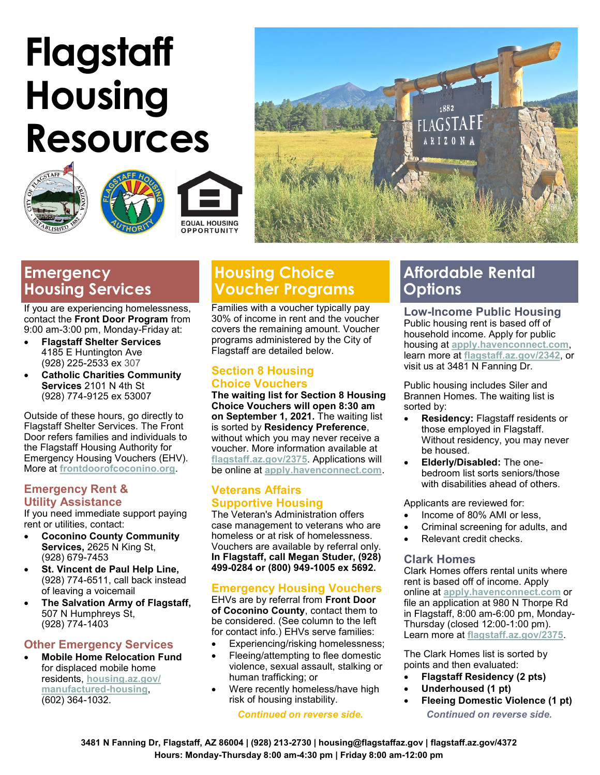# **Flagstaff Housing Resources**









## **Emergency Housing Services**

If you are experiencing homelessness, contact the **Front Door Program** from 9:00 am-3:00 pm, Monday-Friday at:

- **Flagstaff Shelter Services** 4185 E Huntington Ave (928) 225-2533 ex 307
- **Catholic Charities Community Services** 2101 N 4th St (928) 774-9125 ex 53007

Outside of these hours, go directly to Flagstaff Shelter Services. The Front Door refers families and individuals to the Flagstaff Housing Authority for Emergency Housing Vouchers (EHV). More at **[frontdoorofcoconino.org](https://frontdoorofcoconino.org/)**.

#### **Emergency Rent & Utility Assistance**

If you need immediate support paying rent or utilities, contact:

- **Coconino County Community Services,** 2625 N King St, (928) 679-7453
- **St. Vincent de Paul Help Line,**  (928) 774-6511, call back instead of leaving a voicemail
- **The Salvation Army of Flagstaff,**  507 N Humphreys St, (928) 774-1403

#### **Other Emergency Services**

• **Mobile Home Relocation Fund**  for displaced mobile home residents, **[housing.az.gov/](http://housing.az.gov/manufactured-housing) [manufactured](http://housing.az.gov/manufactured-housing)-housing**, (602) 364-1032.

## **Housing Choice Voucher Programs**

Families with a voucher typically pay 30% of income in rent and the voucher covers the remaining amount. Voucher programs administered by the City of Flagstaff are detailed below.

### **Section 8 Housing Choice Vouchers**

**The waiting list for Section 8 Housing Choice Vouchers will open 8:30 am on September 1, 2021.** The waiting list is sorted by **Residency Preference**, without which you may never receive a voucher. More information available at **<flagstaff.az.gov/2375>**. Applications will be online at **<apply.havenconnect.com>**.

#### **Veterans Affairs Supportive Housing**

The Veteran's Administration offers case management to veterans who are homeless or at risk of homelessness. Vouchers are available by referral only. **In Flagstaff, call Megan Studer, (928) 499-0284 or (800) 949-1005 ex 5692.**

#### **Emergency Housing Vouchers**

EHVs are by referral from **Front Door of Coconino County**, contact them to be considered. (See column to the left for contact info.) EHVs serve families:

- Experiencing/risking homelessness;
- Fleeing/attempting to flee domestic violence, sexual assault, stalking or human trafficking; or
- Were recently homeless/have high risk of housing instability.

## **Affordable Rental Options**

**Low-Income Public Housing** Public housing rent is based off of household income. Apply for public housing at **<apply.havenconnect.com>**, learn more at **[flagstaff.az.gov/2342](https://www.flagstaff.az.gov/2350)**, or visit us at 3481 N Fanning Dr.

Public housing includes Siler and Brannen Homes. The waiting list is sorted by:

- **Residency:** Flagstaff residents or those employed in Flagstaff. Without residency, you may never be housed.
- **Elderly/Disabled:** The onebedroom list sorts seniors/those with disabilities ahead of others.

Applicants are reviewed for:

- Income of 80% AMI or less,
- Criminal screening for adults, and
- Relevant credit checks.

#### **Clark Homes**

Clark Homes offers rental units where rent is based off of income. Apply online at **<apply.havenconnect.com>** or file an application at 980 N Thorpe Rd in Flagstaff, 8:00 am-6:00 pm, Monday-Thursday (closed 12:00-1:00 pm). Learn more at **[flagstaff.az.gov/2375](https://www.flagstaff.az.gov/2375/Clark-Homes)**.

The Clark Homes list is sorted by points and then evaluated:

- **Flagstaff Residency (2 pts)**
- **Underhoused (1 pt)**
- **Fleeing Domestic Violence (1 pt)** *Continued on reverse side. Continued on reverse side.*